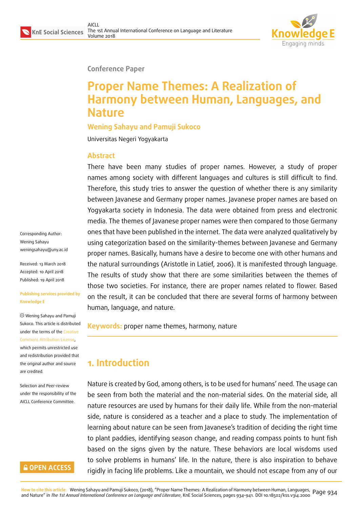

**Conference Paper**

# **Proper Name Themes: A Realization of Harmony between Human, Languages, and Nature**

**Wening Sahayu and Pamuji Sukoco**

Universitas Negeri Yogyakarta

### **Abstract**

There have been many studies of proper names. However, a study of proper names among society with different languages and cultures is still difficult to find. Therefore, this study tries to answer the question of whether there is any similarity between Javanese and Germany proper names. Javanese proper names are based on Yogyakarta society in Indonesia. The data were obtained from press and electronic media. The themes of Javanese proper names were then compared to those Germany ones that have been published in the internet. The data were analyzed qualitatively by using categorization based on the similarity-themes between Javanese and Germany proper names. Basically, humans have a desire to become one with other humans and the natural surroundings (Aristotle in Latief, 2006). It is manifested through language. The results of study show that there are some similarities between the themes of those two societies. For instance, there are proper names related to flower. Based on the result, it can be concluded that there are several forms of harmony between human, language, and nature.

**Keywords:** proper name themes, harmony, nature

## **1. Introduction**

Nature is created by God, among others, is to be used for humans' need. The usage can be seen from both the material and the non-material sides. On the material side, all nature resources are used by humans for their daily life. While from the non-material side, nature is considered as a teacher and a place to study. The implementation of learning about nature can be seen from Javanese's tradition of deciding the right time to plant paddies, identifying season change, and reading compass points to hunt fish based on the signs given by the nature. These behaviors are local wisdoms used to solve problems in humans' life. In the nature, there is also inspiration to behave rigidly in facing life problems. Like a mountain, we should not escape from any of our

Corresponding Author: Wening Sahayu weningsahayu@uny.ac.id

Received: 13 March 2018 Accepted: 10 April 2018 [Published: 19 April 2018](mailto:weningsahayu@uny.ac.id)

#### **Publishing services provided by Knowledge E**

Wening Sahayu and Pamuji Sukoco. This article is distributed under the terms of the Creative Commons Attribution License, which permits unrestricted use and redistribution provided that the original author and [source](https://creativecommons.org/licenses/by/4.0/) [are credited.](https://creativecommons.org/licenses/by/4.0/)

Selection and Peer-review under the responsibility of the AICLL Conference Committee.

### **GOPEN ACCESS**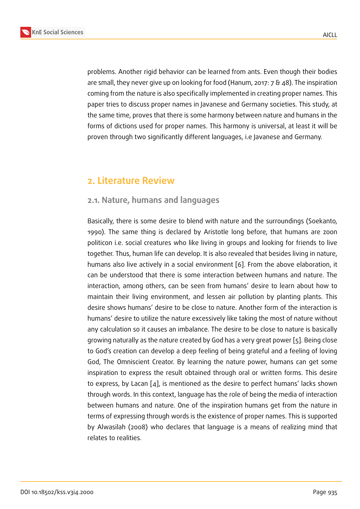problems. Another rigid behavior can be learned from ants. Even though their bodies are small, they never give up on looking for food (Hanum, 2017: 7 & 48). The inspiration coming from the nature is also specifically implemented in creating proper names. This paper tries to discuss proper names in Javanese and Germany societies. This study, at the same time, proves that there is some harmony between nature and humans in the forms of dictions used for proper names. This harmony is universal, at least it will be proven through two significantly different languages, i.e Javanese and Germany.

### **2. Literature Review**

### **2.1. Nature, humans and languages**

Basically, there is some desire to blend with nature and the surroundings (Soekanto, 1990). The same thing is declared by Aristotle long before, that humans are zoon politicon i.e. social creatures who like living in groups and looking for friends to live together. Thus, human life can develop. It is also revealed that besides living in nature, humans also live actively in a social environment [6]. From the above elaboration, it can be understood that there is some interaction between humans and nature. The interaction, among others, can be seen from humans' desire to learn about how to maintain their living environment, and lessen air [p](#page-7-0)ollution by planting plants. This desire shows humans' desire to be close to nature. Another form of the interaction is humans' desire to utilize the nature excessively like taking the most of nature without any calculation so it causes an imbalance. The desire to be close to nature is basically growing naturally as the nature created by God has a very great power [5]. Being close to God's creation can develop a deep feeling of being grateful and a feeling of loving God, The Omniscient Creator. By learning the nature power, humans can get some inspiration to express the result obtained through oral or written for[ms](#page-7-1). This desire to express, by Lacan [4], is mentioned as the desire to perfect humans' lacks shown through words. In this context, language has the role of being the media of interaction between humans and nature. One of the inspiration humans get from the nature in terms of expressing t[hro](#page-7-2)ugh words is the existence of proper names. This is supported by Alwasilah (2008) who declares that language is a means of realizing mind that relates to realities.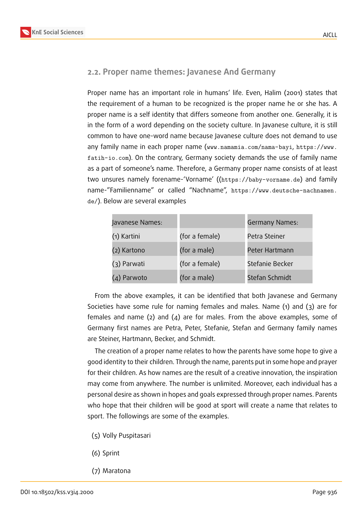#### **2.2. Proper name themes: Javanese And Germany**

Proper name has an important role in humans' life. Even, Halim (2001) states that the requirement of a human to be recognized is the proper name he or she has. A proper name is a self identity that differs someone from another one. Generally, it is in the form of a word depending on the society culture. In Javanese culture, it is still common to have one-word name because Javanese culture does not demand to use any family name in each proper name (www.namamia.com/nama-bayi, https://www. fatih-io.com). On the contrary, Germany society demands the use of family name as a part of someone's name. Therefore, a Germany proper name consists of at least two unsures namely forename-'Vorname' (([https://baby-vorname.](www.namamia.com/nama-bayi)de[\) and family](https://www.fatih-io.com) [name-"Familie](https://www.fatih-io.com)nname" or called "Nachname", https://www.deutsche-nachnamen. de/). Below are several examples

| Javanese Names: |                | Germany Names:  |
|-----------------|----------------|-----------------|
| (1) Kartini     | (for a female) | Petra Steiner   |
| (2) Kartono     | (for a male)   | Peter Hartmann  |
| (3) Parwati     | (for a female) | Stefanie Becker |
| (4) Parwoto     | (for a male)   | Stefan Schmidt  |

From the above examples, it can be identified that both Javanese and Germany Societies have some rule for naming females and males. Name (1) and (3) are for females and name (2) and (4) are for males. From the above examples, some of Germany first names are Petra, Peter, Stefanie, Stefan and Germany family names are Steiner, Hartmann, Becker, and Schmidt.

The creation of a proper name relates to how the parents have some hope to give a good identity to their children. Through the name, parents put in some hope and prayer for their children. As how names are the result of a creative innovation, the inspiration may come from anywhere. The number is unlimited. Moreover, each individual has a personal desire as shown in hopes and goals expressed through proper names. Parents who hope that their children will be good at sport will create a name that relates to sport. The followings are some of the examples.

- (5) Volly Puspitasari
- (6) Sprint
- (7) Maratona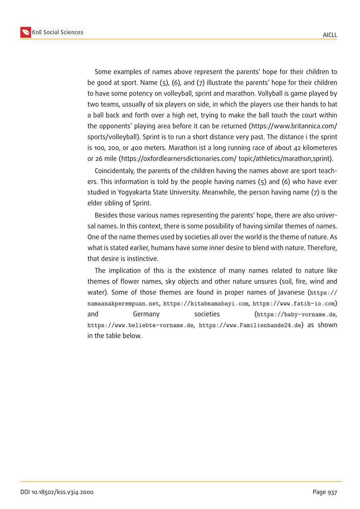Some examples of names above represent the parents' hope for their children to be good at sport. Name (5), (6), and (7) illustrate the parents' hope for their children to have some potency on volleyball, sprint and marathon. Vollyball is game played by two teams, ussually of six players on side, in which the players use their hands to bat a ball back and forth over a high net, trying to make the ball touch the court within the opponents' playing area before it can be returned (https://www.britannica.com/ sports/volleyball). Sprint is to run a short distance very past. The distance i the sprint is 100, 200, or 400 meters. Marathon ist a long running race of about 42 kilometeres or 26 mile (https://oxfordlearnersdictionaries.com/ topic/athletics/marathon,sprint).

Coincidentaly, the parents of the children having the names above are sport teachers. This information is told by the people having names (5) and (6) who have ever studied in Yogyakarta State University. Meanwhile, the person having name (7) is the elder sibling of Sprint.

Besides those various names representing the parents' hope, there are also universal names. In this context, there is some possibility of having similar themes of names. One of the name themes used by societies all over the world is the theme of nature. As what is stated earlier, humans have some inner desire to blend with nature. Therefore, that desire is instinctive.

The implication of this is the existence of many names related to nature like themes of flower names, sky objects and other nature unsures (soil, fire, wind and water). Some of those themes are found in proper names of Javanese (https:// namaanakperempuan.net, https://kitabnamabayi.com, https://www.fatih-io.com) and Germany societies (https://baby-vorname.de, https://www.beliebte-vorname.de, https://www.Familienbande24.de) [as shown](https://namaanakperempuan.net) [in the table below.](https://namaanakperempuan.net)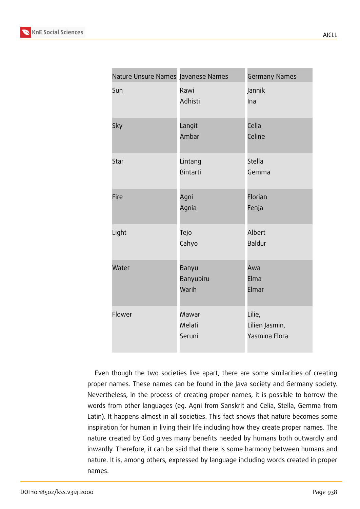| Nature Unsure Names Javanese Names |                             | <b>Germany Names</b>                      |
|------------------------------------|-----------------------------|-------------------------------------------|
| Sun                                | Rawi<br>Adhisti             | Jannik<br>Ina                             |
| Sky                                | Langit<br>Ambar             | Celia<br>Celine                           |
| Star                               | Lintang<br><b>Bintarti</b>  | Stella<br>Gemma                           |
| Fire                               | Agni<br>Agnia               | Florian<br>Fenja                          |
| Light                              | Tejo<br>Cahyo               | Albert<br>Baldur                          |
| Water                              | Banyu<br>Banyubiru<br>Warih | Awa<br>Elma<br>Elmar                      |
| Flower                             | Mawar<br>Melati<br>Seruni   | Lilie,<br>Lilien Jasmin,<br>Yasmina Flora |

Even though the two societies live apart, there are some similarities of creating proper names. These names can be found in the Java society and Germany society. Nevertheless, in the process of creating proper names, it is possible to borrow the words from other languages (eg. Agni from Sanskrit and Celia, Stella, Gemma from Latin). It happens almost in all societies. This fact shows that nature becomes some inspiration for human in living their life including how they create proper names. The nature created by God gives many benefits needed by humans both outwardly and inwardly. Therefore, it can be said that there is some harmony between humans and nature. It is, among others, expressed by language including words created in proper names.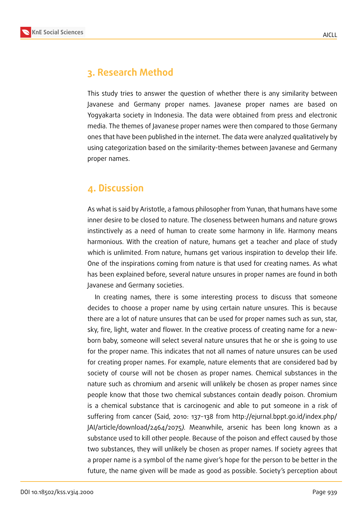

### **3. Research Method**

This study tries to answer the question of whether there is any similarity between Javanese and Germany proper names. Javanese proper names are based on Yogyakarta society in Indonesia. The data were obtained from press and electronic media. The themes of Javanese proper names were then compared to those Germany ones that have been published in the internet. The data were analyzed qualitatively by using categorization based on the similarity-themes between Javanese and Germany proper names.

### **4. Discussion**

As what is said by Aristotle, a famous philosopher from Yunan, that humans have some inner desire to be closed to nature. The closeness between humans and nature grows instinctively as a need of human to create some harmony in life. Harmony means harmonious. With the creation of nature, humans get a teacher and place of study which is unlimited. From nature, humans get various inspiration to develop their life. One of the inspirations coming from nature is that used for creating names. As what has been explained before, several nature unsures in proper names are found in both Javanese and Germany societies.

In creating names, there is some interesting process to discuss that someone decides to choose a proper name by using certain nature unsures. This is because there are a lot of nature unsures that can be used for proper names such as sun, star, sky, fire, light, water and flower. In the creative process of creating name for a newborn baby, someone will select several nature unsures that he or she is going to use for the proper name. This indicates that not all names of nature unsures can be used for creating proper names. For example, nature elements that are considered bad by society of course will not be chosen as proper names. Chemical substances in the nature such as chromium and arsenic will unlikely be chosen as proper names since people know that those two chemical substances contain deadly poison. Chromium is a chemical substance that is carcinogenic and able to put someone in a risk of suffering from cancer (Said, 2010: 137-138 from http://ejurnal.bppt.go.id/index.php/ JAI/article/download/2464/2075*).* Meanwhile, arsenic has been long known as a substance used to kill other people. Because of the poison and effect caused by those two substances, they will unlikely be chosen as proper names. If society agrees that a proper name is a symbol of the name giver's hope for the person to be better in the future, the name given will be made as good as possible. Society's perception about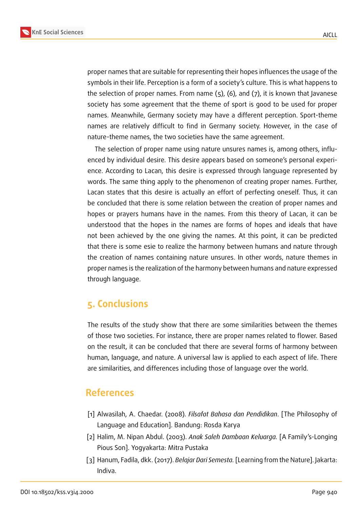



proper names that are suitable for representing their hopes influences the usage of the symbols in their life. Perception is a form of a society's culture. This is what happens to the selection of proper names. From name (5), (6), and (7), it is known that Javanese society has some agreement that the theme of sport is good to be used for proper names. Meanwhile, Germany society may have a different perception. Sport-theme names are relatively difficult to find in Germany society. However, in the case of nature-theme names, the two societies have the same agreement.

The selection of proper name using nature unsures names is, among others, influenced by individual desire. This desire appears based on someone's personal experience. According to Lacan, this desire is expressed through language represented by words. The same thing apply to the phenomenon of creating proper names. Further, Lacan states that this desire is actually an effort of perfecting oneself. Thus, it can be concluded that there is some relation between the creation of proper names and hopes or prayers humans have in the names. From this theory of Lacan, it can be understood that the hopes in the names are forms of hopes and ideals that have not been achieved by the one giving the names. At this point, it can be predicted that there is some esie to realize the harmony between humans and nature through the creation of names containing nature unsures. In other words, nature themes in proper names is the realization of the harmony between humans and nature expressed through language.

### **5. Conclusions**

The results of the study show that there are some similarities between the themes of those two societies. For instance, there are proper names related to flower. Based on the result, it can be concluded that there are several forms of harmony between human, language, and nature. A universal law is applied to each aspect of life. There are similarities, and differences including those of language over the world.

### **References**

- [1] Alwasilah, A. Chaedar. (2008). *Filsafat Bahasa dan Pendidikan*. [The Philosophy of Language and Education]. Bandung: Rosda Karya
- [2] Halim, M. Nipan Abdul. (2003). *Anak Saleh Dambaan Keluarga.* [A Family's-Longing Pious Son]. Yogyakarta: Mitra Pustaka
- [3] Hanum, Fadila, dkk. (2017). *Belajar Dari Semesta.* [Learning from the Nature]. Jakarta: Indiva.